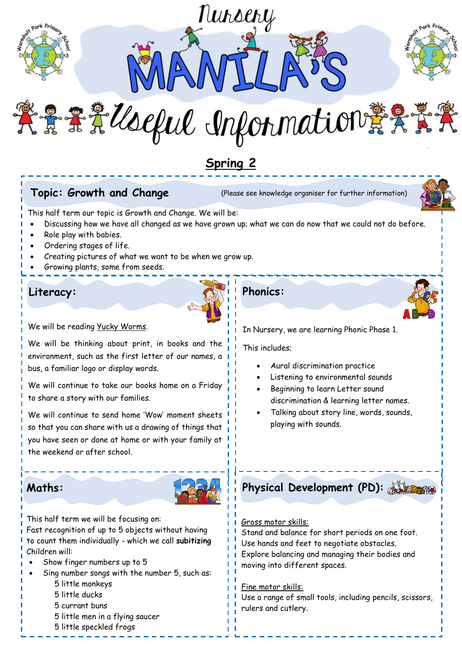

## Topic: Growth and Change

**Topic: Growth and Change** (Please see knowledge organiser for further information)



This half term our topic is Growth and Change. We will be:

- Discussing how we have all changed as we have grown up; what we can do now that we could not do before.
- Role play with babies.
- Ordering stages of life.
- Creating pictures of what we want to be when we grow up.
- Growing plants, some from seeds.

## **Literacy: Phonics:**



We will be reading Yucky Worms.

We will be thinking about print, in books and the environment, such as the first letter of our names, a bus, a familiar logo or display words.

We will continue to take our books home on a Friday to share a story with our families.

We will continue to send home 'Wow' moment sheets so that you can share with us a drawing of things that you have seen or done at home or with your family at the weekend or after school.



This half term we will be focusing on:

Fast recognition of up to 5 objects without having to count them individually - which we call **subitizing** Children will:

- Show finger numbers up to 5
- Sing number songs with the number 5, such as:
	- 5 little monkeys
	- 5 little ducks
	- 5 currant buns
	- 5 little men in a flying saucer
	- 5 little speckled frogs



In Nursery, we are learning Phonic Phase 1.

This includes;

- Aural discrimination practice
- Listening to environmental sounds
- Beginning to learn Letter sound discrimination & learning letter names.
- Talking about story line, words, sounds, playing with sounds.
- **Maths: Physical Development (PD):**

### Gross motor skills:

Stand and balance for short periods on one foot. Use hands and feet to negotiate obstacles. Explore balancing and managing their bodies and moving into different spaces.

### Fine motor skills:

Use a range of small tools, including pencils, scissors, rulers and cutlery.